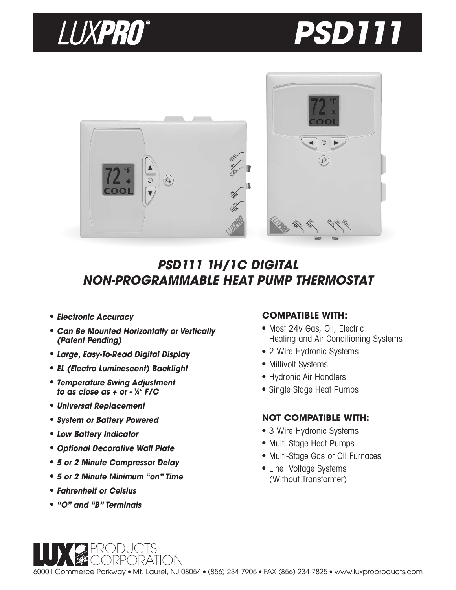





# **PSD111 1H/1C DIGITAL NON-PROGRAMMABLE HEAT PUMP THERMOSTAT**

- **Electronic Accuracy**
- **Can Be Mounted Horizontally or Vertically (Patent Pending)**
- **Large, Easy-To-Read Digital Display**
- **EL (Electro Luminescent) Backlight**
- **Temperature Swing Adjustment to as close as + or - <sup>1</sup> ⁄4° F/C**
- **Universal Replacement**
- **System or Battery Powered**
- **Low Battery Indicator**
- **Optional Decorative Wall Plate**
- **5 or 2 Minute Compressor Delay**
- **5 or 2 Minute Minimum "on" Time**

)RATIONI

- **Fahrenheit or Celsius**
- **"O" and "B" Terminals**

## **COMPATIBLE WITH:**

- Most 24v Gas, Oil, Electric Heating and Air Conditioning Systems
- 2 Wire Hydronic Systems
- Millivolt Systems
- Hydronic Air Handlers
- Single Stage Heat Pumps

## **NOT COMPATIBLE WITH:**

- 3 Wire Hydronic Systems
- Multi-Stage Heat Pumps
- Multi-Stage Gas or Oil Furnaces
- Line Voltage Systems (Without Transformer)

6000 I Commerce Parkway ● Mt. Laurel, NJ 08054 ● (856) 234-7905 ● FAX (856) 234-7825 ● www.luxproproducts.com